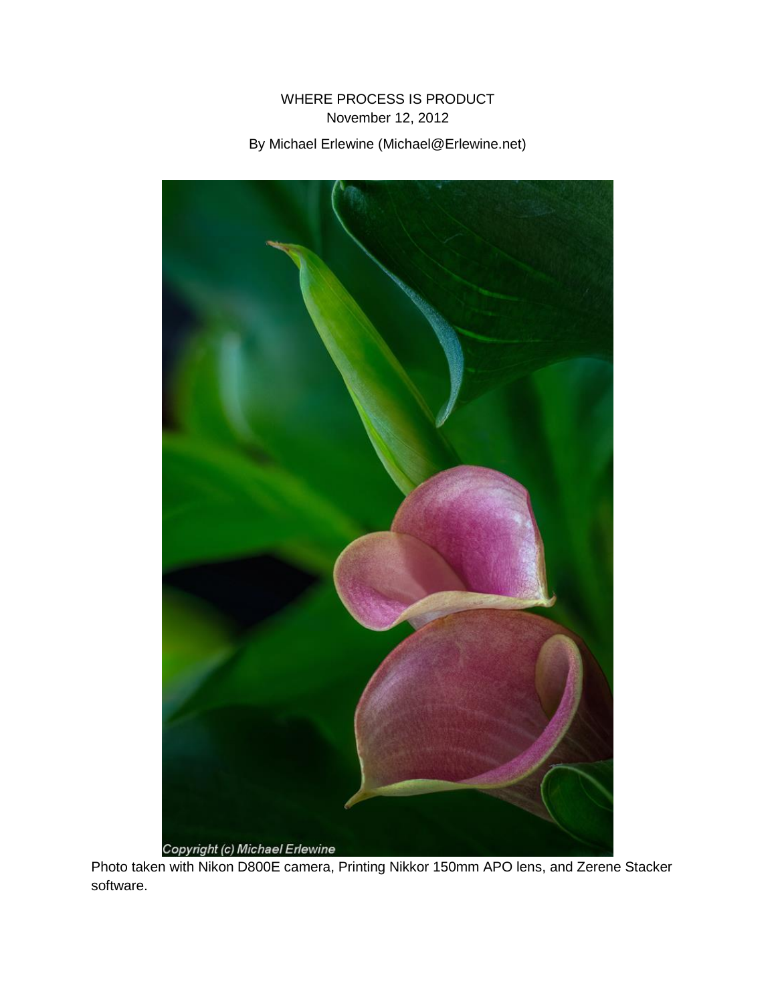## WHERE PROCESS IS PRODUCT November 12, 2012 By Michael Erlewine (Michael@Erlewine.net)



Photo taken with Nikon D800E camera, Printing Nikkor 150mm APO lens, and Zerene Stacker software.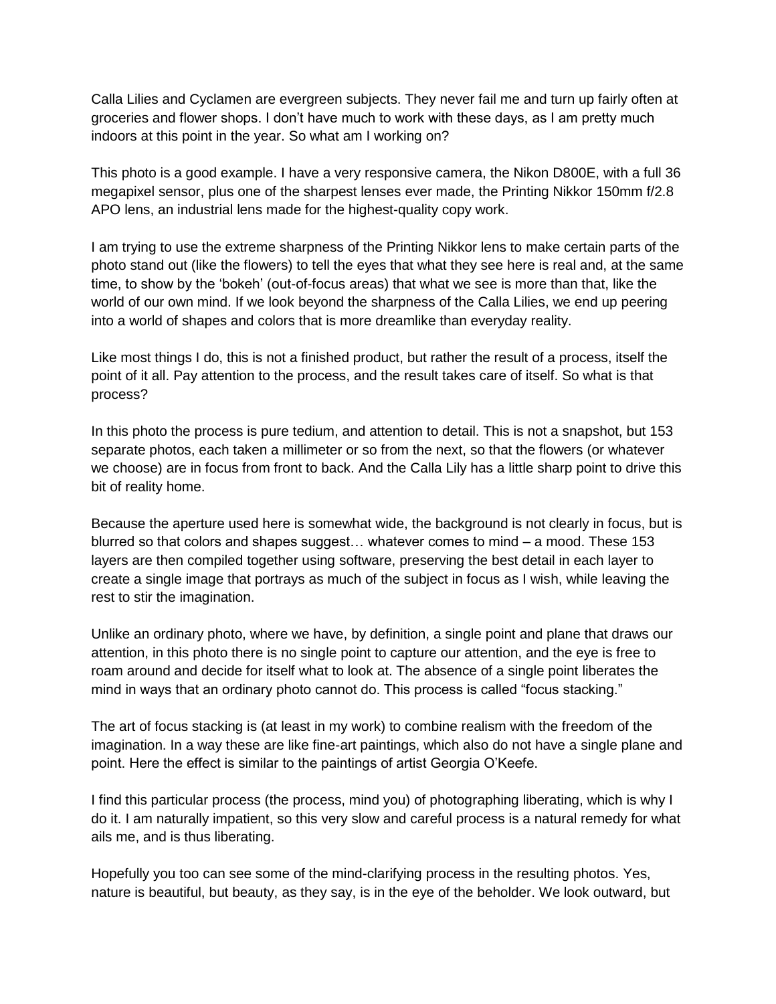Calla Lilies and Cyclamen are evergreen subjects. They never fail me and turn up fairly often at groceries and flower shops. I don't have much to work with these days, as I am pretty much indoors at this point in the year. So what am I working on?

This photo is a good example. I have a very responsive camera, the Nikon D800E, with a full 36 megapixel sensor, plus one of the sharpest lenses ever made, the Printing Nikkor 150mm f/2.8 APO lens, an industrial lens made for the highest-quality copy work.

I am trying to use the extreme sharpness of the Printing Nikkor lens to make certain parts of the photo stand out (like the flowers) to tell the eyes that what they see here is real and, at the same time, to show by the 'bokeh' (out-of-focus areas) that what we see is more than that, like the world of our own mind. If we look beyond the sharpness of the Calla Lilies, we end up peering into a world of shapes and colors that is more dreamlike than everyday reality.

Like most things I do, this is not a finished product, but rather the result of a process, itself the point of it all. Pay attention to the process, and the result takes care of itself. So what is that process?

In this photo the process is pure tedium, and attention to detail. This is not a snapshot, but 153 separate photos, each taken a millimeter or so from the next, so that the flowers (or whatever we choose) are in focus from front to back. And the Calla Lily has a little sharp point to drive this bit of reality home.

Because the aperture used here is somewhat wide, the background is not clearly in focus, but is blurred so that colors and shapes suggest… whatever comes to mind – a mood. These 153 layers are then compiled together using software, preserving the best detail in each layer to create a single image that portrays as much of the subject in focus as I wish, while leaving the rest to stir the imagination.

Unlike an ordinary photo, where we have, by definition, a single point and plane that draws our attention, in this photo there is no single point to capture our attention, and the eye is free to roam around and decide for itself what to look at. The absence of a single point liberates the mind in ways that an ordinary photo cannot do. This process is called "focus stacking."

The art of focus stacking is (at least in my work) to combine realism with the freedom of the imagination. In a way these are like fine-art paintings, which also do not have a single plane and point. Here the effect is similar to the paintings of artist Georgia O'Keefe.

I find this particular process (the process, mind you) of photographing liberating, which is why I do it. I am naturally impatient, so this very slow and careful process is a natural remedy for what ails me, and is thus liberating.

Hopefully you too can see some of the mind-clarifying process in the resulting photos. Yes, nature is beautiful, but beauty, as they say, is in the eye of the beholder. We look outward, but